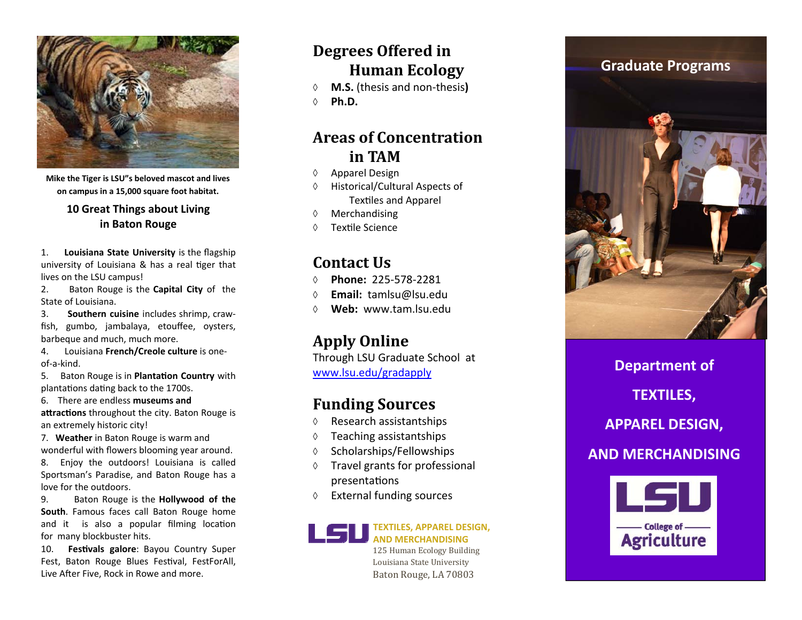**Degrees Offered in Human Ecology**

- **M.S.** (thesis and non‐thesis**)**
- **Ph.D.**

### **Areas of Concentrationin TAM**

- $\Diamond$  Apparel Design
- $\Diamond$  Historical/Cultural Aspects of TexƟles and Apparel
- $\Diamond$ Merchandising
- $\Diamond$ Textile Science

## **Contact Us**

 **Phone:** 225‐578‐2ðô **Email:** tamlsu@lsu.edu**Web:** www.o**%** 

### **Apply Online**

Through LSU Graduate School at www.lsu.edu/gradapply

### **Funding Sources**

- $\Diamond$ Research assistantships
- ♦ Teaching assistantships
- $\Diamond$ Scholarships/Fellowships
- ♦ Travel grants for professional presentations
- ♦ External funding sources



125 Human Ecology Building Louisiana State University Baton Rouge, LA 70803

**Department of TEXTILES, APPAREL DESIGN, AND MERCHANDISING**- College of -**Agriculture** 

**Mike the Tiger is LSU"s beloved mascot and lives on campus in <sup>a</sup> 15,000 square foot habitat.**

> **10 Great Things about Living in Baton Rouge**

1. **Louisiana State University** is the flagship university of Louisiana & has <sup>a</sup> real Ɵger that lives on the LSU campus!

 $2^{\circ}$  Baton Rouge is the **Capital City** of the State of Louisiana.

3. **Southern cuisine** includes shrimp, craw‐ fish, gumbo, jambalaya, etou ffee, oysters, barbeque and much, much more.

4. Louisiana **French/Creole culture** is one‐ of‐a‐kind.

5. Baton Rouge is in **Planta Ɵon Country** with plantations dating back to the 1700s.

6. There are endless **museums and**

**aƩrac Ɵons** throughout the city. Baton Rouge is an extremely historic city!

7. **Weather** in Baton Rouge is warm and wonderful with flowers blooming year around.

8. Enjoy the outdoors! Louisiana is called Sportsman's Paradise, and Baton Rouge has <sup>a</sup> love for the outdoors.

9. Baton Rouge is the **Hollywood of the South**. Famous faces call Baton Rouge home and it is also a popular filming location for many blockbuster hits.

10. **Fes Ɵvals galore**: Bayou Country Super Fest, Baton Rouge Blues Festival, FestForAll, Live After Five, Rock in Rowe and more.